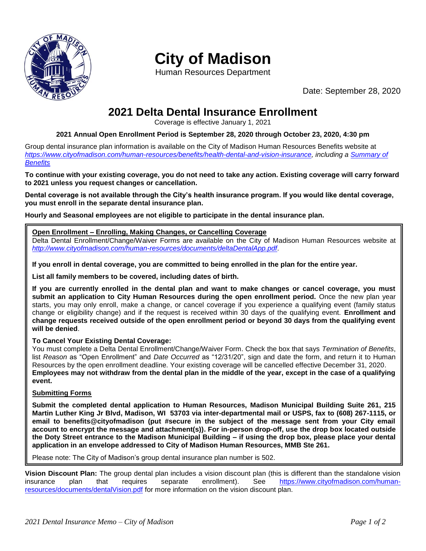

# **City of Madison**

Human Resources Department

Date: September 28, 2020

## **2021 Delta Dental Insurance Enrollment**

Coverage is effective January 1, 2021

### **2021 Annual Open Enrollment Period is September 28, 2020 through October 23, 2020, 4:30 pm**

Group dental insurance plan information is available on the City of Madison Human Resources Benefits website at *[https://www.cityofmadison.com/human-resources/benefits/health-dental-and-vision-insurance,](https://www.cityofmadison.com/human-resources/benefits/health-dental-and-vision-insurance) including a [Summary of](https://www.cityofmadison.com/human-resources/documents/City%20of%20Madison%20YDB%202020.pdf)  [Benefits](https://www.cityofmadison.com/human-resources/documents/City%20of%20Madison%20YDB%202020.pdf)*

**To continue with your existing coverage, you do not need to take any action. Existing coverage will carry forward to 2021 unless you request changes or cancellation.**

**Dental coverage is not available through the City's health insurance program. If you would like dental coverage, you must enroll in the separate dental insurance plan.**

**Hourly and Seasonal employees are not eligible to participate in the dental insurance plan.**

### **Open Enrollment – Enrolling, Making Changes, or Cancelling Coverage**

Delta Dental Enrollment/Change/Waiver Forms are available on the City of Madison Human Resources website at *<http://www.cityofmadison.com/human-resources/documents/deltaDentalApp.pdf>*.

**If you enroll in dental coverage, you are committed to being enrolled in the plan for the entire year.**

**List all family members to be covered, including dates of birth.**

**If you are currently enrolled in the dental plan and want to make changes or cancel coverage, you must submit an application to City Human Resources during the open enrollment period.** Once the new plan year starts, you may only enroll, make a change, or cancel coverage if you experience a qualifying event (family status change or eligibility change) and if the request is received within 30 days of the qualifying event. **Enrollment and change requests received outside of the open enrollment period or beyond 30 days from the qualifying event will be denied**.

### **To Cancel Your Existing Dental Coverage:**

You must complete a Delta Dental Enrollment/Change/Waiver Form. Check the box that says *Termination of Benefits*, list *Reason* as "Open Enrollment" and *Date Occurred* as "12/31/20", sign and date the form, and return it to Human Resources by the open enrollment deadline. Your existing coverage will be cancelled effective December 31, 2020. **Employees may not withdraw from the dental plan in the middle of the year, except in the case of a qualifying event.**

#### **Submitting Forms**

**Submit the completed dental application to Human Resources, Madison Municipal Building Suite 261, 215 Martin Luther King Jr Blvd, Madison, WI 53703 via inter-departmental mail or USPS, fax to (608) 267-1115, or email to benefits@cityofmadison (put #secure in the subject of the message sent from your City email account to encrypt the message and attachment(s)). For in-person drop-off, use the drop box located outside the Doty Street entrance to the Madison Municipal Building – if using the drop box, please place your dental application in an envelope addressed to City of Madison Human Resources, MMB Ste 261.**

Please note: The City of Madison's group dental insurance plan number is 502.

**Vision Discount Plan:** The group dental plan includes a vision discount plan (this is different than the standalone vision insurance plan that requires separate enrollment). See [https://www.cityofmadison.com/human](https://www.cityofmadison.com/human-resources/documents/dentalVision.pdf)[resources/documents/dentalVision.pdf](https://www.cityofmadison.com/human-resources/documents/dentalVision.pdf) for more information on the vision discount plan.